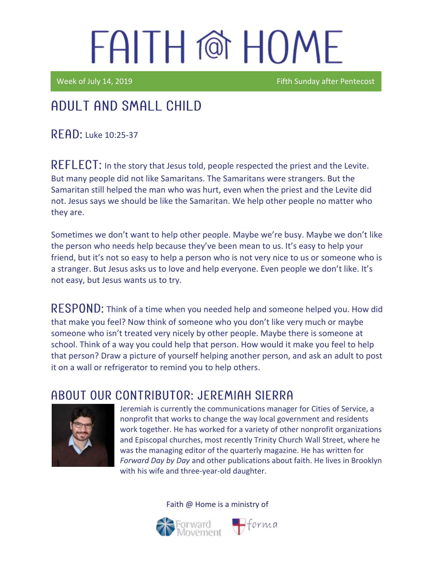Week of July 14, 2019 **Figure 2018** Fifth Sunday after Pentecost

### Adult and Small Child

READ: Luke 10:25-37

REFLECT: In the story that Jesus told, people respected the priest and the Levite. But many people did not like Samaritans. The Samaritans were strangers. But the Samaritan still helped the man who was hurt, even when the priest and the Levite did not. Jesus says we should be like the Samaritan. We help other people no matter who they are.

Sometimes we don't want to help other people. Maybe we're busy. Maybe we don't like the person who needs help because they've been mean to us. It's easy to help your friend, but it's not so easy to help a person who is not very nice to us or someone who is a stranger. But Jesus asks us to love and help everyone. Even people we don't like. It's not easy, but Jesus wants us to try.

RESPOND: Think of a time when you needed help and someone helped you. How did that make you feel? Now think of someone who you don't like very much or maybe someone who isn't treated very nicely by other people. Maybe there is someone at school. Think of a way you could help that person. How would it make you feel to help that person? Draw a picture of yourself helping another person, and ask an adult to post it on a wall or refrigerator to remind you to help others.

#### ABOUT OUR CONTRIBUTOR: JEREMIAH SIERRA



Jeremiah is currently the communications manager for Cities of Service, a nonprofit that works to change the way local government and residents work together. He has worked for a variety of other nonprofit organizations and Episcopal churches, most recently Trinity Church Wall Street, where he was the managing editor of the quarterly magazine. He has written for *Forward Day by Day* and other publications about faith. He lives in Brooklyn with his wife and three-year-old daughter.

 $\bigoplus$ forma

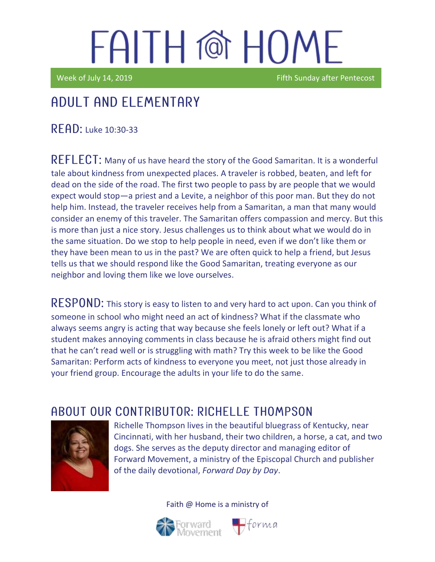Week of July 14, 2019 **Figure 2018** Fifth Sunday after Pentecost

## Adult and elementary

 $READ:$  Luke 10:30-33

REFLECT: Many of us have heard the story of the Good Samaritan. It is a wonderful tale about kindness from unexpected places. A traveler is robbed, beaten, and left for dead on the side of the road. The first two people to pass by are people that we would expect would stop—a priest and a Levite, a neighbor of this poor man. But they do not help him. Instead, the traveler receives help from a Samaritan, a man that many would consider an enemy of this traveler. The Samaritan offers compassion and mercy. But this is more than just a nice story. Jesus challenges us to think about what we would do in the same situation. Do we stop to help people in need, even if we don't like them or they have been mean to us in the past? We are often quick to help a friend, but Jesus tells us that we should respond like the Good Samaritan, treating everyone as our neighbor and loving them like we love ourselves.

RESPOND: This story is easy to listen to and very hard to act upon. Can you think of someone in school who might need an act of kindness? What if the classmate who always seems angry is acting that way because she feels lonely or left out? What if a student makes annoying comments in class because he is afraid others might find out that he can't read well or is struggling with math? Try this week to be like the Good Samaritan: Perform acts of kindness to everyone you meet, not just those already in your friend group. Encourage the adults in your life to do the same.

#### ABOUT OUR CONTRIBUTOR: RICHELLE THOMPSON



Richelle Thompson lives in the beautiful bluegrass of Kentucky, near Cincinnati, with her husband, their two children, a horse, a cat, and two dogs. She serves as the deputy director and managing editor of Forward Movement, a ministry of the Episcopal Church and publisher of the daily devotional, *Forward Day by Day*.



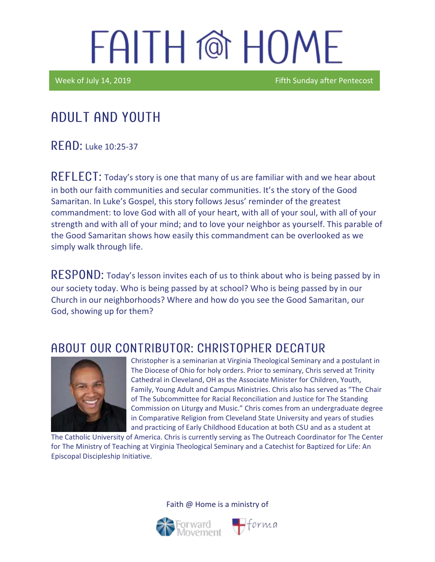Week of July 14, 2019 **Figure 2018** Fifth Sunday after Pentecost

### Adult and youth

 $R$   $F$  $R$  $D$ : Luke 10:25-37

 $REFLECT$ : Today's story is one that many of us are familiar with and we hear about in both our faith communities and secular communities. It's the story of the Good Samaritan. In Luke's Gospel, this story follows Jesus' reminder of the greatest commandment: to love God with all of your heart, with all of your soul, with all of your strength and with all of your mind; and to love your neighbor as yourself. This parable of the Good Samaritan shows how easily this commandment can be overlooked as we simply walk through life.

 **Today's lesson invites each of us to think about who is being passed by in** our society today. Who is being passed by at school? Who is being passed by in our Church in our neighborhoods? Where and how do you see the Good Samaritan, our God, showing up for them?

#### ABOUT OUR CONTRIBUTOR: CHRISTOPHER DECATUR



Christopher is a seminarian at Virginia Theological Seminary and a postulant in The Diocese of Ohio for holy orders. Prior to seminary, Chris served at Trinity Cathedral in Cleveland, OH as the Associate Minister for Children, Youth, Family, Young Adult and Campus Ministries. Chris also has served as "The Chair of The Subcommittee for Racial Reconciliation and Justice for The Standing Commission on Liturgy and Music." Chris comes from an undergraduate degree in Comparative Religion from Cleveland State University and years of studies and practicing of Early Childhood Education at both CSU and as a student at

 $\bigoplus$ forma

The Catholic University of America. Chris is currently serving as The Outreach Coordinator for The Center for The Ministry of Teaching at Virginia Theological Seminary and a Catechist for Baptized for Life: An Episcopal Discipleship Initiative.